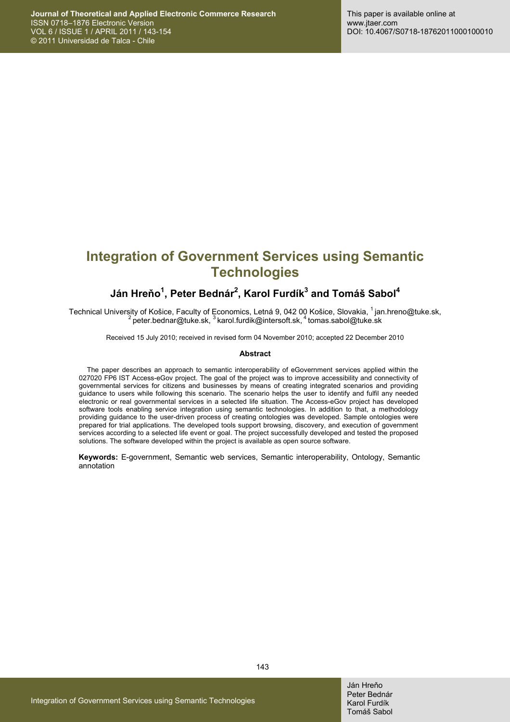# **Integration of Government Services using Semantic Technologies**

## **Ján Hreňo<sup>1</sup> , Peter Bednár2 , Karol Furdík3 and Tomáš Sabol<sup>4</sup>**

Technical University of Košice, Faculty of Economics, Letná 9, 042 00 Košice, Slovakia, <sup>1</sup> jan.hreno@tuke.sk, <sup>2</sup> peter.bednar@tuke.sk, <sup>3</sup> karol.furdik@intersoft.sk, <sup>4</sup> tomas.sabol@tuke.sk

Received 15 July 2010; received in revised form 04 November 2010; accepted 22 December 2010

#### **Abstract**

The paper describes an approach to semantic interoperability of eGovernment services applied within the 027020 FP6 IST Access-eGov project. The goal of the project was to improve accessibility and connectivity of governmental services for citizens and businesses by means of creating integrated scenarios and providing guidance to users while following this scenario. The scenario helps the user to identify and fulfil any needed electronic or real governmental services in a selected life situation. The Access-eGov project has developed software tools enabling service integration using semantic technologies. In addition to that, a methodology providing guidance to the user-driven process of creating ontologies was developed. Sample ontologies were prepared for trial applications. The developed tools support browsing, discovery, and execution of government services according to a selected life event or goal. The project successfully developed and tested the proposed solutions. The software developed within the project is available as open source software.

**Keywords:** E-government, Semantic web services, Semantic interoperability, Ontology, Semantic annotation

143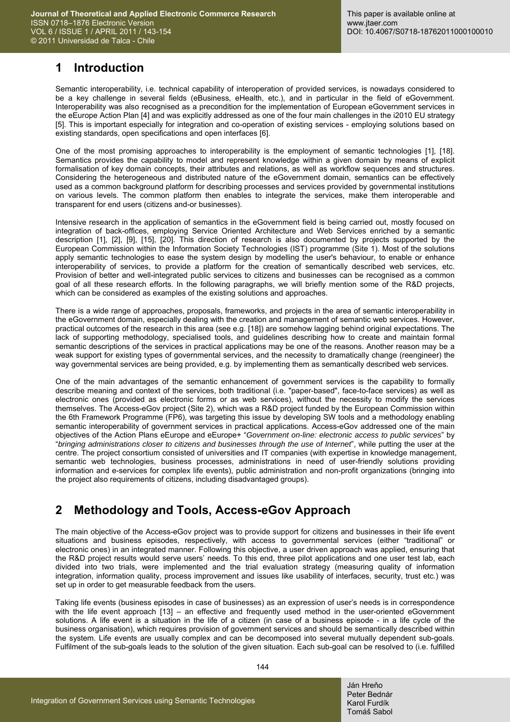## **1 Introduction**

Semantic interoperability, i.e. technical capability of interoperation of provided services, is nowadays considered to be a key challenge in several fields (eBusiness, eHealth, etc.), and in particular in the field of eGovernment. Interoperability was also recognised as a precondition for the implementation of European eGovernment services in the eEurope Action Plan [4] and was explicitly addressed as one of the four main challenges in the i2010 EU strategy [5]. This is important especially for integration and co-operation of existing services - employing solutions based on existing standards, open specifications and open interfaces [6].

One of the most promising approaches to interoperability is the employment of semantic technologies [1], [18]. Semantics provides the capability to model and represent knowledge within a given domain by means of explicit formalisation of key domain concepts, their attributes and relations, as well as workflow sequences and structures. Considering the heterogeneous and distributed nature of the eGovernment domain, semantics can be effectively used as a common background platform for describing processes and services provided by governmental institutions on various levels. The common platform then enables to integrate the services, make them interoperable and transparent for end users (citizens and-or businesses).

Intensive research in the application of semantics in the eGovernment field is being carried out, mostly focused on integration of back-offices, employing Service Oriented Architecture and Web Services enriched by a semantic description [1], [2], [9], [15], [20]. This direction of research is also documented by projects supported by the European Commission within the Information Society Technologies (IST) programme (Site 1). Most of the solutions apply semantic technologies to ease the system design by modelling the user's behaviour, to enable or enhance interoperability of services, to provide a platform for the creation of semantically described web services, etc. Provision of better and well-integrated public services to citizens and businesses can be recognised as a common goal of all these research efforts. In the following paragraphs, we will briefly mention some of the R&D projects, which can be considered as examples of the existing solutions and approaches.

There is a wide range of approaches, proposals, frameworks, and projects in the area of semantic interoperability in the eGovernment domain, especially dealing with the creation and management of semantic web services. However, practical outcomes of the research in this area (see e.g. [18]) are somehow lagging behind original expectations. The lack of supporting methodology, specialised tools, and guidelines describing how to create and maintain formal semantic descriptions of the services in practical applications may be one of the reasons. Another reason may be a weak support for existing types of governmental services, and the necessity to dramatically change (reengineer) the way governmental services are being provided, e.g. by implementing them as semantically described web services.

One of the main advantages of the semantic enhancement of government services is the capability to formally describe meaning and context of the services, both traditional (i.e. "paper-based", face-to-face services) as well as electronic ones (provided as electronic forms or as web services), without the necessity to modify the services themselves. The Access-eGov project (Site 2), which was a R&D project funded by the European Commission within the 6th Framework Programme (FP6), was targeting this issue by developing SW tools and a methodology enabling semantic interoperability of government services in practical applications. Access-eGov addressed one of the main objectives of the Action Plans eEurope and eEurope+ "*Government on-line: electronic access to public services*" by "*bringing administrations closer to citizens and businesses through the use of Internet*", while putting the user at the centre. The project consortium consisted of universities and IT companies (with expertise in knowledge management, semantic web technologies, business processes, administrations in need of user-friendly solutions providing information and e-services for complex life events), public administration and non-profit organizations (bringing into the project also requirements of citizens, including disadvantaged groups).

# **2 Methodology and Tools, Access-eGov Approach**

The main objective of the Access-eGov project was to provide support for citizens and businesses in their life event situations and business episodes, respectively, with access to governmental services (either "traditional" or electronic ones) in an integrated manner. Following this objective, a user driven approach was applied, ensuring that the R&D project results would serve users' needs. To this end, three pilot applications and one user test lab, each divided into two trials, were implemented and the trial evaluation strategy (measuring quality of information integration, information quality, process improvement and issues like usability of interfaces, security, trust etc.) was set up in order to get measurable feedback from the users.

Taking life events (business episodes in case of businesses) as an expression of user's needs is in correspondence with the life event approach [13] – an effective and frequently used method in the user-oriented eGovernment solutions. A life event is a situation in the life of a citizen (in case of a business episode - in a life cycle of the business organisation), which requires provision of government services and should be semantically described within the system. Life events are usually complex and can be decomposed into several mutually dependent sub-goals. Fulfilment of the sub-goals leads to the solution of the given situation. Each sub-goal can be resolved to (i.e. fulfilled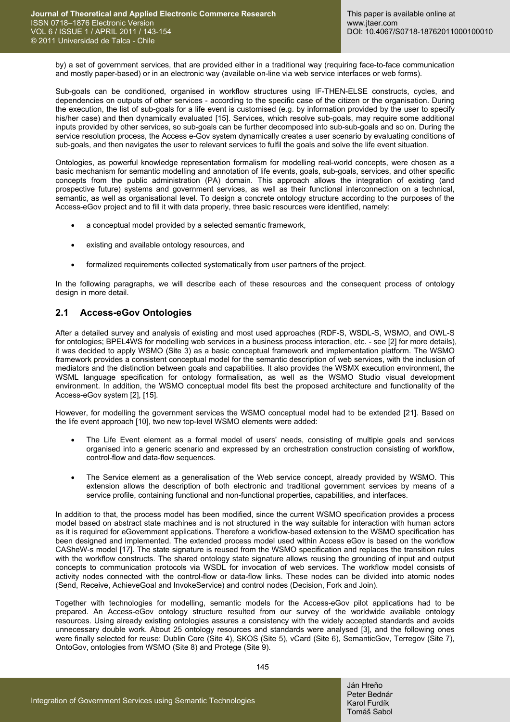by) a set of government services, that are provided either in a traditional way (requiring face-to-face communication and mostly paper-based) or in an electronic way (available on-line via web service interfaces or web forms).

Sub-goals can be conditioned, organised in workflow structures using IF-THEN-ELSE constructs, cycles, and dependencies on outputs of other services - according to the specific case of the citizen or the organisation. During the execution, the list of sub-goals for a life event is customised (e.g. by information provided by the user to specify his/her case) and then dynamically evaluated [15]. Services, which resolve sub-goals, may require some additional inputs provided by other services, so sub-goals can be further decomposed into sub-sub-goals and so on. During the service resolution process, the Access e-Gov system dynamically creates a user scenario by evaluating conditions of sub-goals, and then navigates the user to relevant services to fulfil the goals and solve the life event situation.

Ontologies, as powerful knowledge representation formalism for modelling real-world concepts, were chosen as a basic mechanism for semantic modelling and annotation of life events, goals, sub-goals, services, and other specific concepts from the public administration (PA) domain. This approach allows the integration of existing (and prospective future) systems and government services, as well as their functional interconnection on a technical, semantic, as well as organisational level. To design a concrete ontology structure according to the purposes of the Access-eGov project and to fill it with data properly, three basic resources were identified, namely:

- a conceptual model provided by a selected semantic framework,
- existing and available ontology resources, and
- formalized requirements collected systematically from user partners of the project.

In the following paragraphs, we will describe each of these resources and the consequent process of ontology design in more detail.

### **2.1 Access-eGov Ontologies**

After a detailed survey and analysis of existing and most used approaches (RDF-S, WSDL-S, WSMO, and OWL-S for ontologies; BPEL4WS for modelling web services in a business process interaction, etc. - see [2] for more details), it was decided to apply WSMO (Site 3) as a basic conceptual framework and implementation platform. The WSMO framework provides a consistent conceptual model for the semantic description of web services, with the inclusion of mediators and the distinction between goals and capabilities. It also provides the WSMX execution environment, the WSML language specification for ontology formalisation, as well as the WSMO Studio visual development environment. In addition, the WSMO conceptual model fits best the proposed architecture and functionality of the Access-eGov system [2], [15].

However, for modelling the government services the WSMO conceptual model had to be extended [21]. Based on the life event approach [10], two new top-level WSMO elements were added:

- The Life Event element as a formal model of users' needs, consisting of multiple goals and services organised into a generic scenario and expressed by an orchestration construction consisting of workflow, control-flow and data-flow sequences.
- The Service element as a generalisation of the Web service concept, already provided by WSMO. This extension allows the description of both electronic and traditional government services by means of a service profile, containing functional and non-functional properties, capabilities, and interfaces.

In addition to that, the process model has been modified, since the current WSMO specification provides a process model based on abstract state machines and is not structured in the way suitable for interaction with human actors as it is required for eGovernment applications. Therefore a workflow-based extension to the WSMO specification has been designed and implemented. The extended process model used within Access eGov is based on the workflow CASheW-s model [17]. The state signature is reused from the WSMO specification and replaces the transition rules with the workflow constructs. The shared ontology state signature allows reusing the grounding of input and output concepts to communication protocols via WSDL for invocation of web services. The workflow model consists of activity nodes connected with the control-flow or data-flow links. These nodes can be divided into atomic nodes (Send, Receive, AchieveGoal and InvokeService) and control nodes (Decision, Fork and Join).

Together with technologies for modelling, semantic models for the Access-eGov pilot applications had to be prepared. An Access-eGov ontology structure resulted from our survey of the worldwide available ontology resources. Using already existing ontologies assures a consistency with the widely accepted standards and avoids unnecessary double work. About 25 ontology resources and standards were analysed [3], and the following ones were finally selected for reuse: Dublin Core (Site 4), SKOS (Site 5), vCard (Site 6), SemanticGov, Terregov (Site 7), OntoGov, ontologies from WSMO (Site 8) and Protege (Site 9).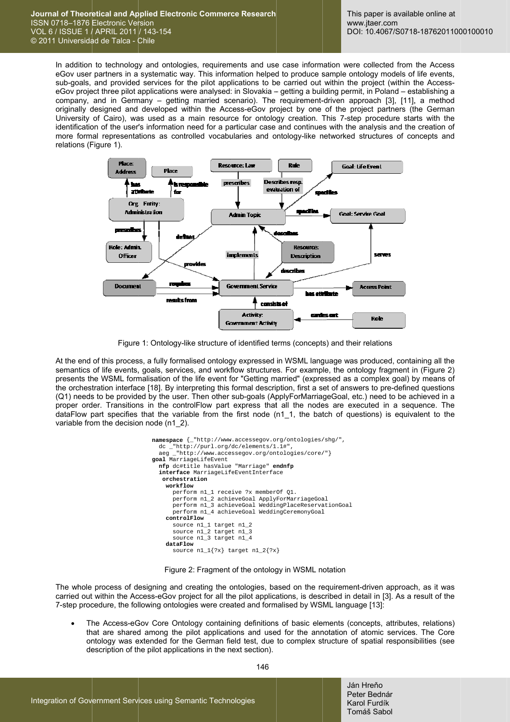In addition to technology and ontologies, requirements and use case information were collected from the Access eGov user partners in a systematic way. This information helped to produce sample ontology models of life events, sub-goals, and provided services for the pilot applications to be carried out within the project (within the AccesseGov project three pilot applications were analysed: in Slovakia - getting a building permit, in Poland - establishing a company, and in Germany – getting married scenario). The requirement-driven approach [3], [11], a method originally designed and developed within the Access-eGov project by one of the project partners (the German University of Cairo), was used as a main resource for ontology creation. This 7-step procedure starts with the identification of the user's information need for a particular case and continues with the analysis and the creation of more formal representations as controlled vocabularies and ontology-like networked structures of concepts and relations (Figure 1).



Figure 1: Ontology-like structure of identified terms (concepts) and their relations

At the end of this process, a fully formalised ontology expressed in WSML language was produced, containing all the semantics of life events, goals, services, and workflow structures. For example, the ontology fragment in (Figure 2) presents the WSML formalisation of the life event for "Getting married" (expressed as a complex goal) by means of the orchestration interface [18]. By interpreting this formal description, first a set of answers to pre-defined questions (Q1) needs to be provided by the user. Then other sub-goals (ApplyForMarriageGoal, etc.) need to be achieved in a proper order. Transitions in the controlFlow part express that all the nodes are executed in a sequence. The dataFlow part specifies that the variable from the first node (n1\_1, the batch of questions) is equivalent to the variable from the decision node (n1 2).

```
namespace {_"http://www.accessegov.org/ontologies/shg/",
  dc _"http://purl.org/dc/elements/1.1#"
  aeg _"http://www.accessegov.org/ontologies/core/"}
goal MarriageLifeEvent
  nfp dc#title hasValue "Marriage" endnfp
  interface MarriageLifeEventInterface
   orchestration
    workflow
      perform n1_1 receive ?x memberOf Q1.
      perform nl_2 achieveGoal ApplyForMarriageGoal<br>perform nl_3 achieveGoal WeddingPlaceReservationGoal
      perform nl_4 achieveGoal WeddingCeremonyGoal
    controlFlow
      source n1_1 target n1_2
      source n1_2 target n1_3source nl_3 target nl_4
    dataFlow
      source n1_1{?x} target n1_2{?x}
```
Figure 2: Fragment of the ontology in WSML notation

The whole process of designing and creating the ontologies, based on the requirement-driven approach, as it was carried out within the Access-eGov project for all the pilot applications, is described in detail in [3]. As a result of the 7-step procedure, the following ontologies were created and formalised by WSML language [13]:

The Access-eGov Core Ontology containing definitions of basic elements (concepts, attributes, relations) that are shared among the pilot applications and used for the annotation of atomic services. The Core ontology was extended for the German field test, due to complex structure of spatial responsibilities (see description of the pilot applications in the next section).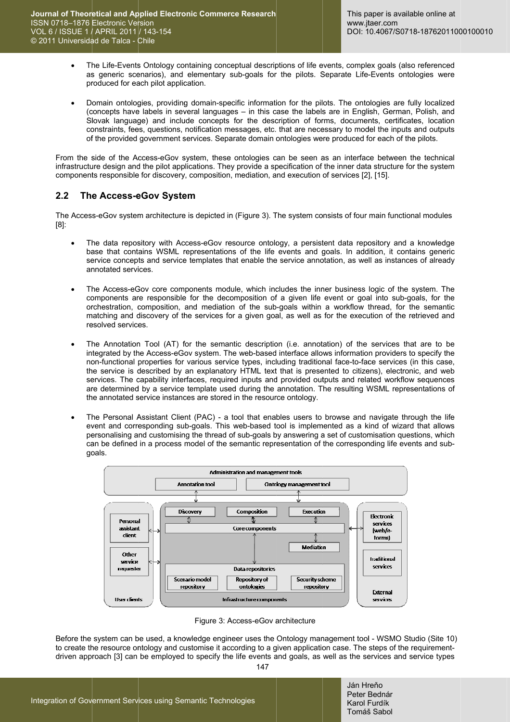- The Life-Events Ontology containing conceptual descriptions of life events, complex goals (also referenced  $\bullet$ as generic scenarios), and elementary sub-goals for the pilots. Separate Life-Events ontologies were produced for each pilot application.
- Domain ontologies, providing domain-specific information for the pilots. The ontologies are fully localized  $\ddot{\phantom{a}}$ (concepts have labels in several languages - in this case the labels are in English, German, Polish, and Slovak language) and include concepts for the description of forms, documents, certificates, location constraints, fees, questions, notification messages, etc. that are necessary to model the inputs and outputs of the provided government services. Separate domain ontologies were produced for each of the pilots.

From the side of the Access-eGov system, these ontologies can be seen as an interface between the technical infrastructure design and the pilot applications. They provide a specification of the inner data structure for the system components responsible for discovery, composition, mediation, and execution of services [2], [15].

#### $2<sub>2</sub>$ The Access-eGov System

The Access-eGov system architecture is depicted in (Figure 3). The system consists of four main functional modules  $[8]$ :

- The data repository with Access-eGov resource ontology, a persistent data repository and a knowledge base that contains WSML representations of the life events and goals. In addition, it contains generic service concepts and service templates that enable the service annotation, as well as instances of already annotated services.
- The Access-eGov core components module, which includes the inner business logic of the system. The components are responsible for the decomposition of a given life event or goal into sub-goals, for the orchestration, composition, and mediation of the sub-goals within a workflow thread, for the semantic matching and discovery of the services for a given goal, as well as for the execution of the retrieved and resolved services.
- The Annotation Tool (AT) for the semantic description (i.e. annotation) of the services that are to be integrated by the Access-eGov system. The web-based interface allows information providers to specify the non-functional properties for various service types, including traditional face-to-face services (in this case, the service is described by an explanatory HTML text that is presented to citizens), electronic, and web services. The capability interfaces, required inputs and provided outputs and related workflow sequences are determined by a service template used during the annotation. The resulting WSML representations of the annotated service instances are stored in the resource ontology.
- The Personal Assistant Client (PAC) a tool that enables users to browse and navigate through the life event and corresponding sub-goals. This web-based tool is implemented as a kind of wizard that allows personalising and customising the thread of sub-goals by answering a set of customisation questions, which can be defined in a process model of the semantic representation of the corresponding life events and subqoals.



Figure 3: Access-eGov architecture

Before the system can be used, a knowledge engineer uses the Ontology management tool - WSMO Studio (Site 10) to create the resource ontology and customise it according to a given application case. The steps of the requirementdriven approach [3] can be employed to specify the life events and goals, as well as the services and service types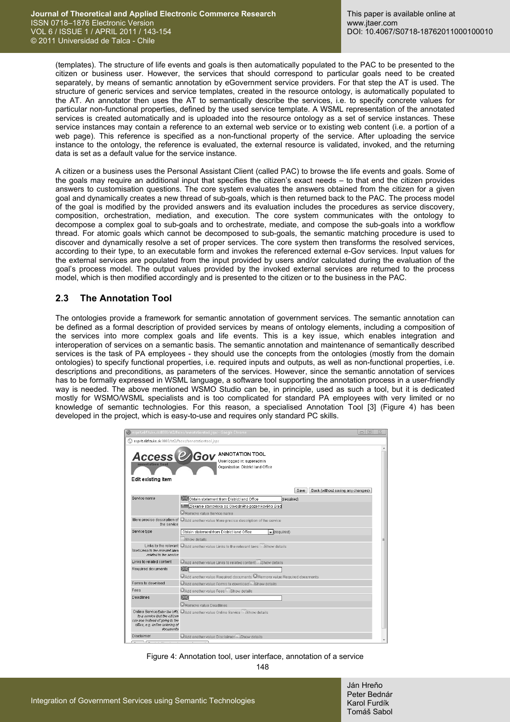(templates). The structure of life events and goals is then automatically populated to the PAC to be presented to the citizen or business user. However, the services that should correspond to particular goals need to be created separately, by means of semantic annotation by eGovernment service providers. For that step the AT is used. The structure of generic services and service templates, created in the resource ontology, is automatically populated to the AT. An annotator then uses the AT to semantically describe the services, i.e. to specify concrete values for particular non-functional properties, defined by the used service template. A WSML representation of the annotated services is created automatically and is uploaded into the resource ontology as a set of service instances. These service instances may contain a reference to an external web service or to existing web content (i.e. a portion of a web page). This reference is specified as a non-functional property of the service. After uploading the service instance to the ontology, the reference is evaluated, the external resource is validated, invoked, and the returning data is set as a default value for the service instance.

A citizen or a business uses the Personal Assistant Client (called PAC) to browse the life events and goals. Some of the goals may require an additional input that specifies the citizen's exact needs – to that end the citizen provides answers to customisation questions. The core system evaluates the answers obtained from the citizen for a given goal and dynamically creates a new thread of sub-goals, which is then returned back to the PAC. The process model of the goal is modified by the provided answers and its evaluation includes the procedures as service discovery, composition, orchestration, mediation, and execution. The core system communicates with the ontology to decompose a complex goal to sub-goals and to orchestrate, mediate, and compose the sub-goals into a workflow thread. For atomic goals which cannot be decomposed to sub-goals, the semantic matching procedure is used to discover and dynamically resolve a set of proper services. The core system then transforms the resolved services, according to their type, to an executable form and invokes the referenced external e-Gov services. Input values for the external services are populated from the input provided by users and/or calculated during the evaluation of the goal's process model. The output values provided by the invoked external services are returned to the process model, which is then modified accordingly and is presented to the citizen or to the business in the PAC.

## **2.3 The Annotation Tool**

The ontologies provide a framework for semantic annotation of government services. The semantic annotation can be defined as a formal description of provided services by means of ontology elements, including a composition of the services into more complex goals and life events. This is a key issue, which enables integration and interoperation of services on a semantic basis. The semantic annotation and maintenance of semantically described services is the task of PA employees - they should use the concepts from the ontologies (mostly from the domain ontologies) to specify functional properties, i.e. required inputs and outputs, as well as non-functional properties, i.e. descriptions and preconditions, as parameters of the services. However, since the semantic annotation of services has to be formally expressed in WSML language, a software tool supporting the annotation process in a user-friendly way is needed. The above mentioned WSMO Studio can be, in principle, used as such a tool, but it is dedicated mostly for WSMO/WSML specialists and is too complicated for standard PA employees with very limited or no knowledge of semantic technologies. For this reason, a specialised Annotation Tool [3] (Figure 4) has been developed in the project, which is easy-to-use and requires only standard PC skills.

|                                                                                                                  | esprit.ekf.tuke.sk:8080/at2/faces/annotationtool.jspx - Google Chrome<br>$\boxed{\square}$<br>$\overline{\phantom{0}}$ | $\Sigma$ |
|------------------------------------------------------------------------------------------------------------------|------------------------------------------------------------------------------------------------------------------------|----------|
| esprit.ekf.tuke.sk:8080/at2/faces/annotationtool.jspx                                                            |                                                                                                                        |          |
| <b>Access &amp; Gov</b><br>Edit existing item                                                                    | <b>ANNOTATION TOOL</b><br>User logged in: superadmin.<br>Organization: District land Office                            |          |
|                                                                                                                  | Back (without saving any changes)<br>Save                                                                              |          |
| Service name                                                                                                     | Obtain statement from District land Office<br>(required)                                                               |          |
|                                                                                                                  | Získanie stanoviska od Obvodného pozemkového úrad                                                                      |          |
|                                                                                                                  | Remove value Service name                                                                                              |          |
| the service                                                                                                      | More precise description of @Add another value More precise description of the service                                 |          |
| Service type                                                                                                     | $\overline{\phantom{a}}$ (required)<br>Obtain statement from District land Office                                      |          |
|                                                                                                                  | Show details                                                                                                           |          |
| lawsLinks to the relevant laws<br>related to the service.                                                        | Links to the relevant @Add another value Links to the relevant laws Eashow details                                     |          |
| Links to related content.                                                                                        | Add another value Links to related content Lishow details                                                              |          |
| Required documents                                                                                               | 区                                                                                                                      |          |
|                                                                                                                  | $\odot$ Add another value Required documents $\odot$ Remove value Required documents                                   |          |
| Forms to download                                                                                                | CAdd another value Forms to download Eashow details                                                                    |          |
| Fees                                                                                                             | Add another value Fees Bhow details                                                                                    |          |
| Deadlines                                                                                                        |                                                                                                                        |          |
|                                                                                                                  | Remove value Deadlines                                                                                                 |          |
| to a service that the citizen<br>can use instead of going to the<br>office, e.g. online ordering of<br>documents | Online Service Enter the URL @Add another value Online Service El Show details                                         |          |
| Disclaimer                                                                                                       | Add another value Disclaimer EdShow details                                                                            |          |
|                                                                                                                  |                                                                                                                        |          |

Figure 4: Annotation tool, user interface, annotation of a service

148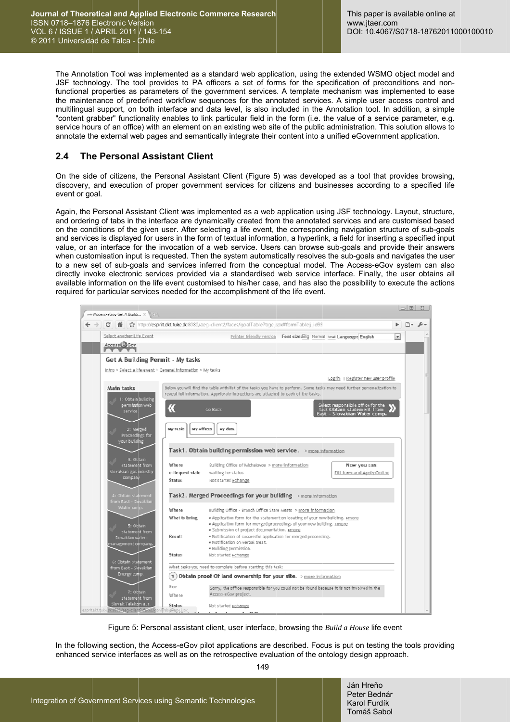The Annotation Tool was implemented as a standard web application, using the extended WSMO object model and JSF technology. The tool provides to PA officers a set of forms for the specification of preconditions and nonfunctional properties as parameters of the government services. A template mechanism was implemented to ease the maintenance of predefined workflow sequences for the annotated services. A simple user access control and multilingual support, on both interface and data level, is also included in the Annotation tool. In addition, a simple "content grabber" functionality enables to link particular field in the form (i.e. the value of a service parameter, e.g. service hours of an office) with an element on an existing web site of the public administration. This solution allows to annotate the external web pages and semantically integrate their content into a unified eGovernment application.

#### $2.4$ The Personal Assistant Client

On the side of citizens, the Personal Assistant Client (Figure 5) was developed as a tool that provides browsing. discovery, and execution of proper government services for citizens and businesses according to a specified life event or goal.

Again, the Personal Assistant Client was implemented as a web application using JSF technology. Layout, structure, and ordering of tabs in the interface are dynamically created from the annotated services and are customised based on the conditions of the given user. After selecting a life event, the corresponding navigation structure of sub-goals and services is displayed for users in the form of textual information, a hyperlink, a field for inserting a specified input value, or an interface for the invocation of a web service. Users can browse sub-goals and provide their answers when customisation input is requested. Then the system automatically resolves the sub-goals and navigates the user to a new set of sub-goals and services inferred from the conceptual model. The Access-eGov system can also directly invoke electronic services provided via a standardised web service interface. Finally, the user obtains all available information on the life event customised to his/her case, and has also the possibility to execute the actions required for particular services needed for the accomplishment of the life event.



Figure 5: Personal assistant client, user interface, browsing the Build a House life event

In the following section, the Access-eGov pilot applications are described. Focus is put on testing the tools providing enhanced service interfaces as well as on the retrospective evaluation of the ontology design approach.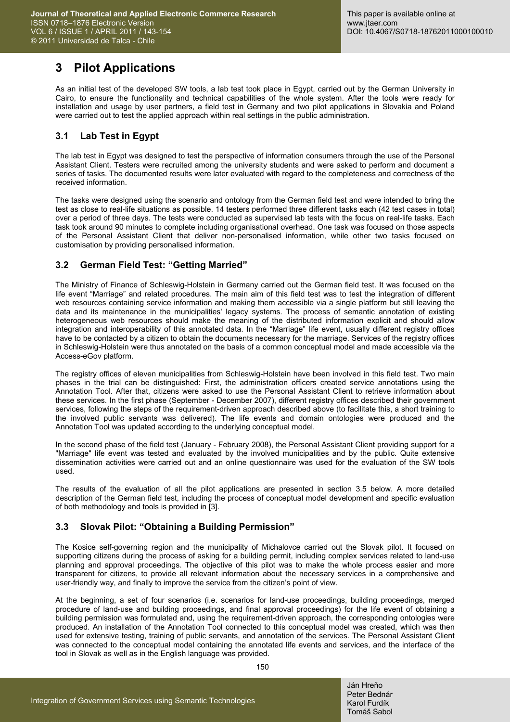# **3 Pilot Applications**

As an initial test of the developed SW tools, a lab test took place in Egypt, carried out by the German University in Cairo, to ensure the functionality and technical capabilities of the whole system. After the tools were ready for installation and usage by user partners, a field test in Germany and two pilot applications in Slovakia and Poland were carried out to test the applied approach within real settings in the public administration.

## **3.1 Lab Test in Egypt**

The lab test in Egypt was designed to test the perspective of information consumers through the use of the Personal Assistant Client. Testers were recruited among the university students and were asked to perform and document a series of tasks. The documented results were later evaluated with regard to the completeness and correctness of the received information.

The tasks were designed using the scenario and ontology from the German field test and were intended to bring the test as close to real-life situations as possible. 14 testers performed three different tasks each (42 test cases in total) over a period of three days. The tests were conducted as supervised lab tests with the focus on real-life tasks. Each task took around 90 minutes to complete including organisational overhead. One task was focused on those aspects of the Personal Assistant Client that deliver non-personalised information, while other two tasks focused on customisation by providing personalised information.

## **3.2 German Field Test: "Getting Married"**

The Ministry of Finance of Schleswig-Holstein in Germany carried out the German field test. It was focused on the life event "Marriage" and related procedures. The main aim of this field test was to test the integration of different web resources containing service information and making them accessible via a single platform but still leaving the data and its maintenance in the municipalities' legacy systems. The process of semantic annotation of existing heterogeneous web resources should make the meaning of the distributed information explicit and should allow integration and interoperability of this annotated data. In the "Marriage" life event, usually different registry offices have to be contacted by a citizen to obtain the documents necessary for the marriage. Services of the registry offices in Schleswig-Holstein were thus annotated on the basis of a common conceptual model and made accessible via the Access-eGov platform.

The registry offices of eleven municipalities from Schleswig-Holstein have been involved in this field test. Two main phases in the trial can be distinguished: First, the administration officers created service annotations using the Annotation Tool. After that, citizens were asked to use the Personal Assistant Client to retrieve information about these services. In the first phase (September - December 2007), different registry offices described their government services, following the steps of the requirement-driven approach described above (to facilitate this, a short training to the involved public servants was delivered). The life events and domain ontologies were produced and the Annotation Tool was updated according to the underlying conceptual model.

In the second phase of the field test (January - February 2008), the Personal Assistant Client providing support for a "Marriage" life event was tested and evaluated by the involved municipalities and by the public. Quite extensive dissemination activities were carried out and an online questionnaire was used for the evaluation of the SW tools used.

The results of the evaluation of all the pilot applications are presented in section 3.5 below. A more detailed description of the German field test, including the process of conceptual model development and specific evaluation of both methodology and tools is provided in [3].

## **3.3 Slovak Pilot: "Obtaining a Building Permission"**

The Kosice self-governing region and the municipality of Michalovce carried out the Slovak pilot. It focused on supporting citizens during the process of asking for a building permit, including complex services related to land-use planning and approval proceedings. The objective of this pilot was to make the whole process easier and more transparent for citizens, to provide all relevant information about the necessary services in a comprehensive and user-friendly way, and finally to improve the service from the citizen's point of view.

At the beginning, a set of four scenarios (i.e. scenarios for land-use proceedings, building proceedings, merged procedure of land-use and building proceedings, and final approval proceedings) for the life event of obtaining a building permission was formulated and, using the requirement-driven approach, the corresponding ontologies were produced. An installation of the Annotation Tool connected to this conceptual model was created, which was then used for extensive testing, training of public servants, and annotation of the services. The Personal Assistant Client was connected to the conceptual model containing the annotated life events and services, and the interface of the tool in Slovak as well as in the English language was provided.

150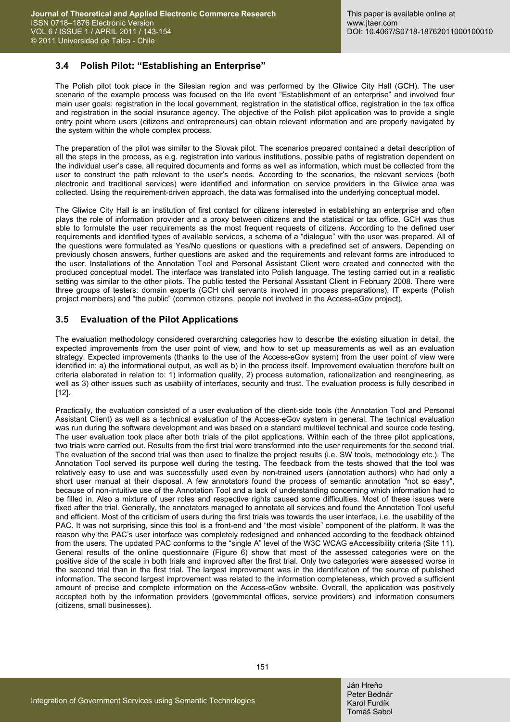### **3.4 Polish Pilot: "Establishing an Enterprise"**

The Polish pilot took place in the Silesian region and was performed by the Gliwice City Hall (GCH). The user scenario of the example process was focused on the life event "Establishment of an enterprise" and involved four main user goals: registration in the local government, registration in the statistical office, registration in the tax office and registration in the social insurance agency. The objective of the Polish pilot application was to provide a single entry point where users (citizens and entrepreneurs) can obtain relevant information and are properly navigated by the system within the whole complex process.

The preparation of the pilot was similar to the Slovak pilot. The scenarios prepared contained a detail description of all the steps in the process, as e.g. registration into various institutions, possible paths of registration dependent on the individual user's case, all required documents and forms as well as information, which must be collected from the user to construct the path relevant to the user's needs. According to the scenarios, the relevant services (both electronic and traditional services) were identified and information on service providers in the Gliwice area was collected. Using the requirement-driven approach, the data was formalised into the underlying conceptual model.

The Gliwice City Hall is an institution of first contact for citizens interested in establishing an enterprise and often plays the role of information provider and a proxy between citizens and the statistical or tax office. GCH was thus able to formulate the user requirements as the most frequent requests of citizens. According to the defined user requirements and identified types of available services, a schema of a "dialogue" with the user was prepared. All of the questions were formulated as Yes/No questions or questions with a predefined set of answers. Depending on previously chosen answers, further questions are asked and the requirements and relevant forms are introduced to the user. Installations of the Annotation Tool and Personal Assistant Client were created and connected with the produced conceptual model. The interface was translated into Polish language. The testing carried out in a realistic setting was similar to the other pilots. The public tested the Personal Assistant Client in February 2008. There were three groups of testers: domain experts (GCH civil servants involved in process preparations), IT experts (Polish project members) and "the public" (common citizens, people not involved in the Access-eGov project).

### **3.5 Evaluation of the Pilot Applications**

The evaluation methodology considered overarching categories how to describe the existing situation in detail, the expected improvements from the user point of view, and how to set up measurements as well as an evaluation strategy. Expected improvements (thanks to the use of the Access-eGov system) from the user point of view were identified in: a) the informational output, as well as b) in the process itself. Improvement evaluation therefore built on criteria elaborated in relation to: 1) information quality, 2) process automation, rationalization and reengineering, as well as 3) other issues such as usability of interfaces, security and trust. The evaluation process is fully described in [12].

Practically, the evaluation consisted of a user evaluation of the client-side tools (the Annotation Tool and Personal Assistant Client) as well as a technical evaluation of the Access-eGov system in general. The technical evaluation was run during the software development and was based on a standard multilevel technical and source code testing. The user evaluation took place after both trials of the pilot applications. Within each of the three pilot applications, two trials were carried out. Results from the first trial were transformed into the user requirements for the second trial. The evaluation of the second trial was then used to finalize the project results (i.e. SW tools, methodology etc.). The Annotation Tool served its purpose well during the testing. The feedback from the tests showed that the tool was relatively easy to use and was successfully used even by non-trained users (annotation authors) who had only a short user manual at their disposal. A few annotators found the process of semantic annotation "not so easy", because of non-intuitive use of the Annotation Tool and a lack of understanding concerning which information had to be filled in. Also a mixture of user roles and respective rights caused some difficulties. Most of these issues were fixed after the trial. Generally, the annotators managed to annotate all services and found the Annotation Tool useful and efficient. Most of the criticism of users during the first trials was towards the user interface, i.e. the usability of the PAC. It was not surprising, since this tool is a front-end and "the most visible" component of the platform. It was the reason why the PAC's user interface was completely redesigned and enhanced according to the feedback obtained from the users. The updated PAC conforms to the "single A" level of the W3C WCAG eAccessibility criteria (Site 11). General results of the online questionnaire (Figure 6) show that most of the assessed categories were on the positive side of the scale in both trials and improved after the first trial. Only two categories were assessed worse in the second trial than in the first trial. The largest improvement was in the identification of the source of published information. The second largest improvement was related to the information completeness, which proved a sufficient amount of precise and complete information on the Access-eGov website. Overall, the application was positively accepted both by the information providers (governmental offices, service providers) and information consumers (citizens, small businesses).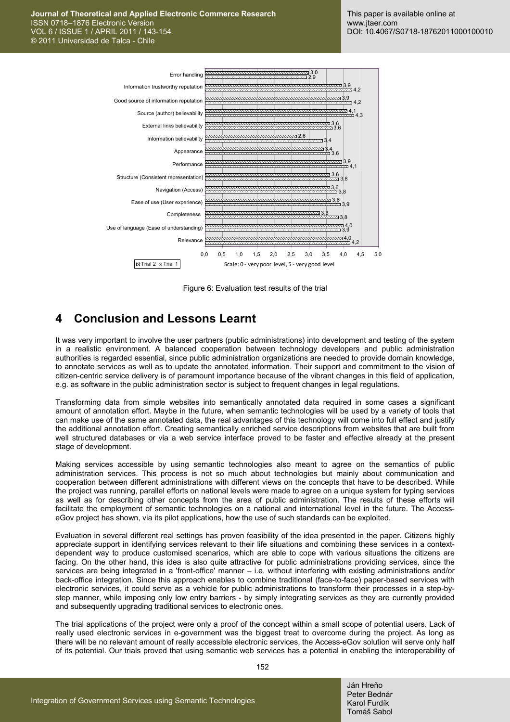

Figure 6: Evaluation test results of the trial

## **4 Conclusion and Lessons Learnt**

It was very important to involve the user partners (public administrations) into development and testing of the system in a realistic environment. A balanced cooperation between technology developers and public administration authorities is regarded essential, since public administration organizations are needed to provide domain knowledge, to annotate services as well as to update the annotated information. Their support and commitment to the vision of citizen-centric service delivery is of paramount importance because of the vibrant changes in this field of application, e.g. as software in the public administration sector is subject to frequent changes in legal regulations.

Transforming data from simple websites into semantically annotated data required in some cases a significant amount of annotation effort. Maybe in the future, when semantic technologies will be used by a variety of tools that can make use of the same annotated data, the real advantages of this technology will come into full effect and justify the additional annotation effort. Creating semantically enriched service descriptions from websites that are built from well structured databases or via a web service interface proved to be faster and effective already at the present stage of development.

Making services accessible by using semantic technologies also meant to agree on the semantics of public administration services. This process is not so much about technologies but mainly about communication and cooperation between different administrations with different views on the concepts that have to be described. While the project was running, parallel efforts on national levels were made to agree on a unique system for typing services as well as for describing other concepts from the area of public administration. The results of these efforts will facilitate the employment of semantic technologies on a national and international level in the future. The AccesseGov project has shown, via its pilot applications, how the use of such standards can be exploited.

Evaluation in several different real settings has proven feasibility of the idea presented in the paper. Citizens highly appreciate support in identifying services relevant to their life situations and combining these services in a contextdependent way to produce customised scenarios, which are able to cope with various situations the citizens are facing. On the other hand, this idea is also quite attractive for public administrations providing services, since the services are being integrated in a 'front-office' manner – i.e. without interfering with existing administrations and/or back-office integration. Since this approach enables to combine traditional (face-to-face) paper-based services with electronic services, it could serve as a vehicle for public administrations to transform their processes in a step-bystep manner, while imposing only low entry barriers - by simply integrating services as they are currently provided and subsequently upgrading traditional services to electronic ones.

The trial applications of the project were only a proof of the concept within a small scope of potential users. Lack of really used electronic services in e-government was the biggest treat to overcome during the project. As long as there will be no relevant amount of really accessible electronic services, the Access-eGov solution will serve only half of its potential. Our trials proved that using semantic web services has a potential in enabling the interoperability of

152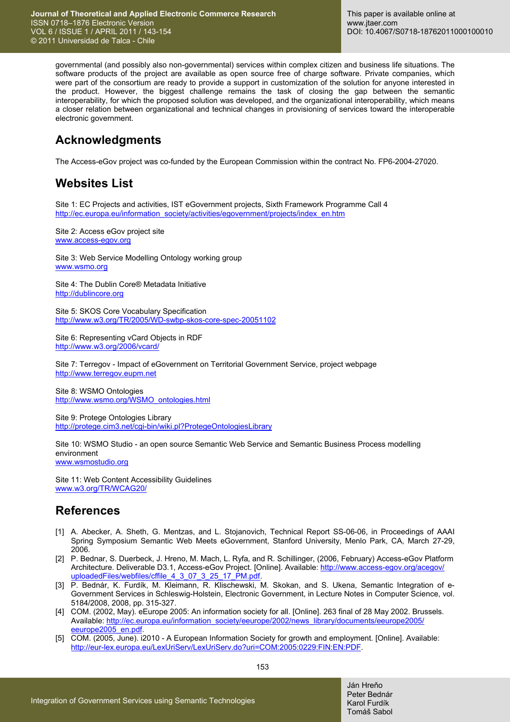governmental (and possibly also non-governmental) services within complex citizen and business life situations. The software products of the project are available as open source free of charge software. Private companies, which were part of the consortium are ready to provide a support in customization of the solution for anyone interested in the product. However, the biggest challenge remains the task of closing the gap between the semantic interoperability, for which the proposed solution was developed, and the organizational interoperability, which means a closer relation between organizational and technical changes in provisioning of services toward the interoperable electronic government.

# **Acknowledgments**

The Access-eGov project was co-funded by the European Commission within the contract No. FP6-2004-27020.

## **Websites List**

Site 1: EC Projects and activities, IST eGovernment projects, Sixth Framework Programme Call 4 http://ec.europa.eu/information\_society/activities/egovernment/projects/index\_en.htm

Site 2: Access eGov project site www.access-egov.org

Site 3: Web Service Modelling Ontology working group www.wsmo.org

Site 4: The Dublin Core® Metadata Initiative http://dublincore.org

Site 5: SKOS Core Vocabulary Specification http://www.w3.org/TR/2005/WD-swbp-skos-core-spec-20051102

Site 6: Representing vCard Objects in RDF http://www.w3.org/2006/vcard/

Site 7: Terregov - Impact of eGovernment on Territorial Government Service, project webpage http://www.terregov.eupm.net

Site 8: WSMO Ontologies http://www.wsmo.org/WSMO\_ontologies.html

Site 9: Protege Ontologies Library http://protege.cim3.net/cgi-bin/wiki.pl?ProtegeOntologiesLibrary

Site 10: WSMO Studio - an open source Semantic Web Service and Semantic Business Process modelling environment www.wsmostudio.org

Site 11: Web Content Accessibility Guidelines www.w3.org/TR/WCAG20/

## **References**

- [1] A. Abecker, A. Sheth, G. Mentzas, and L. Stojanovich, Technical Report SS-06-06, in Proceedings of AAAI Spring Symposium Semantic Web Meets eGovernment, Stanford University, Menlo Park, CA, March 27-29, 2006.
- [2] P. Bednar, S. Duerbeck, J. Hreno, M. Mach, L. Ryfa, and R. Schillinger, (2006, February) Access-eGov Platform [Architecture. Deliverable D3.1, Access-eGov Project. \[Online\]. Available: http://www.access-egov.org/acegov/](http://www.access-egov.org/acegov/uploadedFiles/webfiles/cffile_4_3_07_3_25_17_PM.pdf) uploadedFiles/webfiles/cffile 4 3 07 3 25 17 PM.pdf
- [3] P. Bednár, K. Furdík, M. Kleimann, R. Klischewski, M. Skokan, and S. Ukena, Semantic Integration of e-Government Services in Schleswig-Holstein, Electronic Government, in Lecture Notes in Computer Science, vol. 5184/2008, 2008, pp. 315-327.
- [4] COM. (2002, May). eEurope 2005: An information society for all. [Online]. 263 final of 28 May 2002. Brussels. [Available: http://ec.europa.eu/information\\_society/eeurope/2002/news\\_library/documents/eeurope2005/](http://ec.europa.eu/information_society/eeurope/2002/news_library/documents/eeurope2005/eeurope2005_en.pdf) eeurope2005\_en.pdf.
- [5] COM. (2005, June). i2010 A European Information Society for growth and employment. [Online]. Available: http://eur-lex.europa.eu/LexUriServ/LexUriServ.do?uri=COM:2005:0229:FIN:EN:PDF.